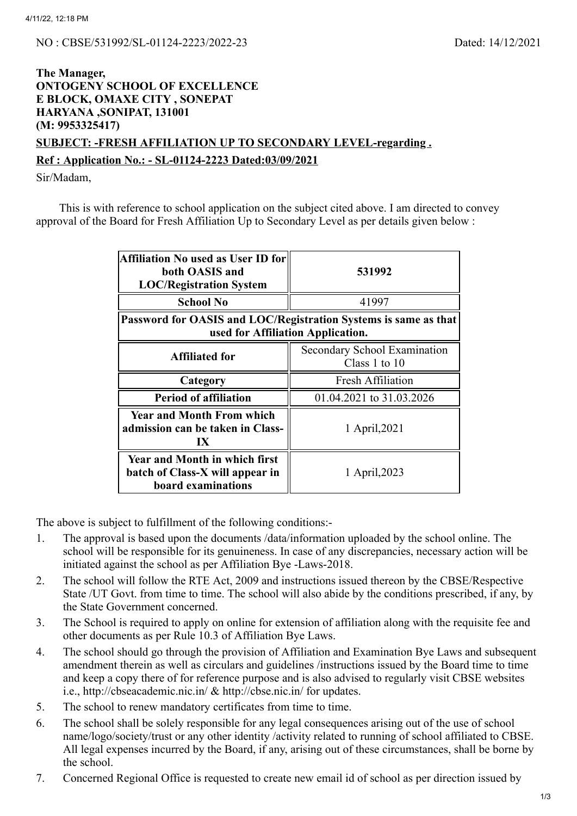## **The Manager, ONTOGENY SCHOOL OF EXCELLENCE E BLOCK, OMAXE CITY , SONEPAT HARYANA ,SONIPAT, 131001 (M: 9953325417) SUBJECT: -FRESH AFFILIATION UP TO SECONDARY LEVEL-regarding .**

## **Ref : Application No.: - SL-01124-2223 Dated:03/09/2021**

Sir/Madam,

This is with reference to school application on the subject cited above. I am directed to convey approval of the Board for Fresh Affiliation Up to Secondary Level as per details given below :

| Affiliation No used as User ID for<br>both OASIS and<br><b>LOC/Registration System</b>               | 531992                                        |  |  |  |
|------------------------------------------------------------------------------------------------------|-----------------------------------------------|--|--|--|
| <b>School No</b>                                                                                     | 41997                                         |  |  |  |
| Password for OASIS and LOC/Registration Systems is same as that<br>used for Affiliation Application. |                                               |  |  |  |
| <b>Affiliated for</b>                                                                                | Secondary School Examination<br>Class 1 to 10 |  |  |  |
| Category                                                                                             | <b>Fresh Affiliation</b>                      |  |  |  |
| <b>Period of affiliation</b>                                                                         | 01.04.2021 to 31.03.2026                      |  |  |  |
| <b>Year and Month From which</b><br>admission can be taken in Class-<br>IX                           | 1 April, 2021                                 |  |  |  |
| <b>Year and Month in which first</b><br>batch of Class-X will appear in<br>board examinations        | 1 April, 2023                                 |  |  |  |

The above is subject to fulfillment of the following conditions:-

- 1. The approval is based upon the documents /data/information uploaded by the school online. The school will be responsible for its genuineness. In case of any discrepancies, necessary action will be initiated against the school as per Affiliation Bye -Laws-2018.
- 2. The school will follow the RTE Act, 2009 and instructions issued thereon by the CBSE/Respective State /UT Govt. from time to time. The school will also abide by the conditions prescribed, if any, by the State Government concerned.
- 3. The School is required to apply on online for extension of affiliation along with the requisite fee and other documents as per Rule 10.3 of Affiliation Bye Laws.
- 4. The school should go through the provision of Affiliation and Examination Bye Laws and subsequent amendment therein as well as circulars and guidelines /instructions issued by the Board time to time and keep a copy there of for reference purpose and is also advised to regularly visit CBSE websites i.e., http://cbseacademic.nic.in/ & http://cbse.nic.in/ for updates.
- 5. The school to renew mandatory certificates from time to time.
- 6. The school shall be solely responsible for any legal consequences arising out of the use of school name/logo/society/trust or any other identity /activity related to running of school affiliated to CBSE. All legal expenses incurred by the Board, if any, arising out of these circumstances, shall be borne by the school.
- 7. Concerned Regional Office is requested to create new email id of school as per direction issued by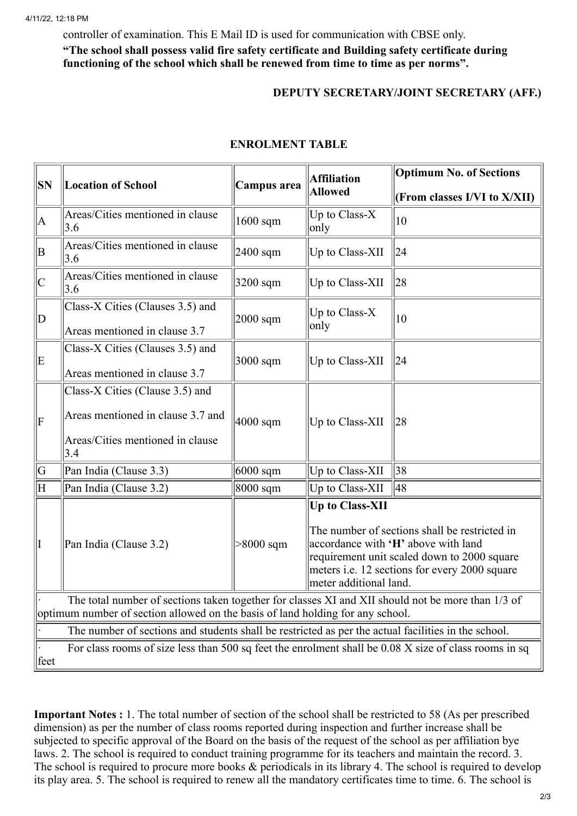controller of examination. This E Mail ID is used for communication with CBSE only.

**"The school shall possess valid fire safety certificate and Building safety certificate during functioning of the school which shall be renewed from time to time as per norms".**

## **DEPUTY SECRETARY/JOINT SECRETARY (AFF.)**

| <b>SN</b>                                                                                                                                                                             | <b>Location of School</b>               | Campus area  | <b>Affiliation</b><br><b>Allowed</b>                                                                                                                                                                                                     | <b>Optimum No. of Sections</b> |  |  |
|---------------------------------------------------------------------------------------------------------------------------------------------------------------------------------------|-----------------------------------------|--------------|------------------------------------------------------------------------------------------------------------------------------------------------------------------------------------------------------------------------------------------|--------------------------------|--|--|
|                                                                                                                                                                                       |                                         |              |                                                                                                                                                                                                                                          | (From classes I/VI to X/XII)   |  |  |
| A                                                                                                                                                                                     | Areas/Cities mentioned in clause<br>3.6 | $1600$ sqm   | Up to Class-X<br>only                                                                                                                                                                                                                    | $ 10\rangle$                   |  |  |
| B                                                                                                                                                                                     | Areas/Cities mentioned in clause<br>3.6 | $2400$ sqm   | Up to Class-XII                                                                                                                                                                                                                          | 24                             |  |  |
| C                                                                                                                                                                                     | Areas/Cities mentioned in clause<br>3.6 | $3200$ sqm   | Up to Class-XII                                                                                                                                                                                                                          | 28                             |  |  |
| $ {\rm D}$                                                                                                                                                                            | Class-X Cities (Clauses 3.5) and        | $2000$ sqm   | Up to Class-X<br>only                                                                                                                                                                                                                    | 10                             |  |  |
|                                                                                                                                                                                       | Areas mentioned in clause 3.7           |              |                                                                                                                                                                                                                                          |                                |  |  |
| E                                                                                                                                                                                     | Class-X Cities (Clauses 3.5) and        | $3000$ sqm   | Up to Class-XII                                                                                                                                                                                                                          | 24                             |  |  |
|                                                                                                                                                                                       | Areas mentioned in clause 3.7           |              |                                                                                                                                                                                                                                          |                                |  |  |
| F                                                                                                                                                                                     | Class-X Cities (Clause 3.5) and         | $4000$ sqm   | Up to Class-XII                                                                                                                                                                                                                          | 28                             |  |  |
|                                                                                                                                                                                       | Areas mentioned in clause 3.7 and       |              |                                                                                                                                                                                                                                          |                                |  |  |
|                                                                                                                                                                                       | Areas/Cities mentioned in clause<br>3.4 |              |                                                                                                                                                                                                                                          |                                |  |  |
| G                                                                                                                                                                                     | Pan India (Clause 3.3)                  | $6000$ sqm   | Up to Class-XII                                                                                                                                                                                                                          | 38                             |  |  |
| ΙH                                                                                                                                                                                    | Pan India (Clause 3.2)                  | $8000$ sqm   | Up to Class-XII                                                                                                                                                                                                                          | 48                             |  |  |
| I                                                                                                                                                                                     | Pan India (Clause 3.2)                  | $> 8000$ sqm | <b>Up to Class-XII</b><br>The number of sections shall be restricted in<br>accordance with 'H' above with land<br>requirement unit scaled down to 2000 square<br>meters i.e. 12 sections for every 2000 square<br>meter additional land. |                                |  |  |
| The total number of sections taken together for classes XI and XII should not be more than 1/3 of                                                                                     |                                         |              |                                                                                                                                                                                                                                          |                                |  |  |
| optimum number of section allowed on the basis of land holding for any school.<br>The number of sections and students shall be restricted as per the actual facilities in the school. |                                         |              |                                                                                                                                                                                                                                          |                                |  |  |
| For class rooms of size less than 500 sq feet the enrolment shall be 0.08 X size of class rooms in sq                                                                                 |                                         |              |                                                                                                                                                                                                                                          |                                |  |  |
| feet                                                                                                                                                                                  |                                         |              |                                                                                                                                                                                                                                          |                                |  |  |

## **ENROLMENT TABLE**

**Important Notes :** 1. The total number of section of the school shall be restricted to 58 (As per prescribed dimension) as per the number of class rooms reported during inspection and further increase shall be subjected to specific approval of the Board on the basis of the request of the school as per affiliation bye laws. 2. The school is required to conduct training programme for its teachers and maintain the record. 3. The school is required to procure more books  $\&$  periodicals in its library 4. The school is required to develop its play area. 5. The school is required to renew all the mandatory certificates time to time. 6. The school is